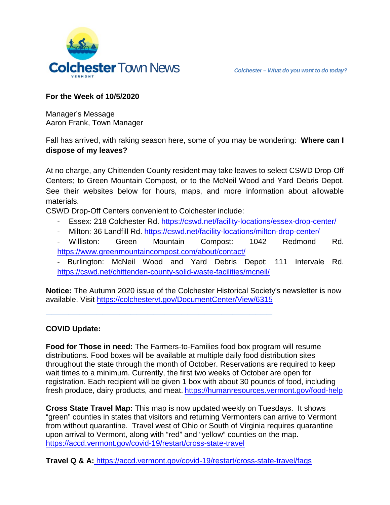

# **For the Week of 10/5/2020**

Manager's Message Aaron Frank, Town Manager

Fall has arrived, with raking season here, some of you may be wondering: **Where can I dispose of my leaves?**

At no charge, any Chittenden County resident may take leaves to select CSWD Drop-Off Centers; to Green Mountain Compost, or to the McNeil Wood and Yard Debris Depot. See their websites below for hours, maps, and more information about allowable materials.

CSWD Drop-Off Centers convenient to Colchester include:

**\_\_\_\_\_\_\_\_\_\_\_\_\_\_\_\_\_\_\_\_\_\_\_\_\_\_\_\_\_\_\_\_\_\_\_\_\_\_\_\_**

- Essex: 218 Colchester Rd.<https://cswd.net/facility-locations/essex-drop-center/>
- Milton: 36 Landfill Rd. https://cswd.net/facility-locations/milton-drop-center/
- Williston: Green Mountain Compost: 1042 Redmond Rd. <https://www.greenmountaincompost.com/about/contact/>
- Burlington: McNeil Wood and Yard Debris Depot: 111 Intervale Rd. <https://cswd.net/chittenden-county-solid-waste-facilities/mcneil/>

**Notice:** The Autumn 2020 issue of the Colchester Historical Society's newsletter is now available. Visit<https://colchestervt.gov/DocumentCenter/View/6315>

# **COVID Update:**

**Food for Those in need:** The Farmers-to-Families food box program will resume distributions. Food boxes will be available at multiple daily food distribution sites throughout the state through the month of October. Reservations are required to keep wait times to a minimum. Currently, the first two weeks of October are open for registration. Each recipient will be given 1 box with about 30 pounds of food, including fresh produce, dairy products, and meat. <https://humanresources.vermont.gov/food-help>

**Cross State Travel Map:** This map is now updated weekly on Tuesdays. It shows "green" counties in states that visitors and returning Vermonters can arrive to Vermont from without quarantine. Travel west of Ohio or South of Virginia requires quarantine upon arrival to Vermont, along with "red" and "yellow" counties on the map. <https://accd.vermont.gov/covid-19/restart/cross-state-travel>

**Travel Q & A:** <https://accd.vermont.gov/covid-19/restart/cross-state-travel/faqs>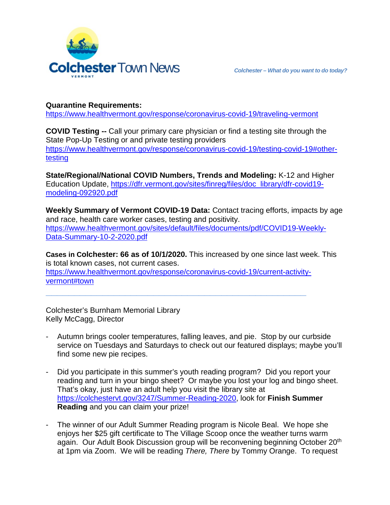

# **Quarantine Requirements:**

<https://www.healthvermont.gov/response/coronavirus-covid-19/traveling-vermont>

**COVID Testing --** Call your primary care physician or find a testing site through the State Pop-Up Testing or and private testing providers [https://www.healthvermont.gov/response/coronavirus-covid-19/testing-covid-19#other](https://www.healthvermont.gov/response/coronavirus-covid-19/testing-covid-19#other-testing)[testing](https://www.healthvermont.gov/response/coronavirus-covid-19/testing-covid-19#other-testing)

**State/Regional/National COVID Numbers, Trends and Modeling:** K-12 and Higher Education Update, [https://dfr.vermont.gov/sites/finreg/files/doc\\_library/dfr-covid19](https://dfr.vermont.gov/sites/finreg/files/doc_library/dfr-covid19-modeling-092920.pdf) [modeling-092920.pdf](https://dfr.vermont.gov/sites/finreg/files/doc_library/dfr-covid19-modeling-092920.pdf)

**Weekly Summary of Vermont COVID-19 Data:** Contact tracing efforts, impacts by age and race, health care worker cases, testing and positivity. https://www.healthvermont.gov/sites/default/files/documents/pdf/COVID19-Weekly-Data-Summary-10-2-2020.pdf

**Cases in Colchester: 66 as of 10/1/2020.** This increased by one since last week. This is total known cases, not current cases. [https://www.healthvermont.gov/response/coronavirus-covid-19/current-activity](https://www.healthvermont.gov/response/coronavirus-covid-19/current-activity-vermont#town)[vermont#town](https://www.healthvermont.gov/response/coronavirus-covid-19/current-activity-vermont#town)

**\_\_\_\_\_\_\_\_\_\_\_\_\_\_\_\_\_\_\_\_\_\_\_\_\_\_\_\_\_\_\_\_\_\_\_\_\_\_\_\_\_\_\_\_\_\_**

Colchester's Burnham Memorial Library Kelly McCagg, Director

- Autumn brings cooler temperatures, falling leaves, and pie. Stop by our curbside service on Tuesdays and Saturdays to check out our featured displays; maybe you'll find some new pie recipes.
- Did you participate in this summer's youth reading program? Did you report your reading and turn in your bingo sheet? Or maybe you lost your log and bingo sheet. That's okay, just have an adult help you visit the library site at [https://colchestervt.gov/3247/Summer-Reading-2020,](https://colchestervt.gov/3247/Summer-Reading-2020) look for **Finish Summer Reading** and you can claim your prize!
- The winner of our Adult Summer Reading program is Nicole Beal. We hope she enjoys her \$25 gift certificate to The Village Scoop once the weather turns warm again. Our Adult Book Discussion group will be reconvening beginning October 20<sup>th</sup> at 1pm via Zoom. We will be reading *There, There* by Tommy Orange. To request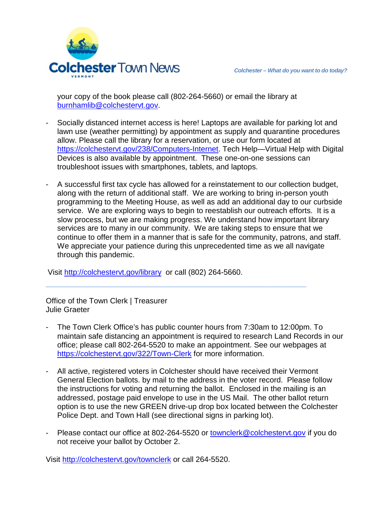

your copy of the book please call (802-264-5660) or email the library at [burnhamlib@colchestervt.gov.](mailto:burnhamlib@colchestervt.gov)

- Socially distanced internet access is here! Laptops are available for parking lot and lawn use (weather permitting) by appointment as supply and quarantine procedures allow. Please call the library for a reservation, or use our form located at [https://colchestervt.gov/238/Computers-Internet.](https://colchestervt.gov/238/Computers-Internet) Tech Help—Virtual Help with Digital Devices is also available by appointment. These one-on-one sessions can troubleshoot issues with smartphones, tablets, and laptops.
- A successful first tax cycle has allowed for a reinstatement to our collection budget, along with the return of additional staff. We are working to bring in-person youth programming to the Meeting House, as well as add an additional day to our curbside service. We are exploring ways to begin to reestablish our outreach efforts. It is a slow process, but we are making progress. We understand how important library services are to many in our community. We are taking steps to ensure that we continue to offer them in a manner that is safe for the community, patrons, and staff. We appreciate your patience during this unprecedented time as we all navigate through this pandemic.

Visit<http://colchestervt.gov/library> or call (802) 264-5660.

Office of the Town Clerk | Treasurer Julie Graeter

The Town Clerk Office's has public counter hours from 7:30am to 12:00pm. To maintain safe distancing an appointment is required to research Land Records in our office; please call 802-264-5520 to make an appointment. See our webpages at <https://colchestervt.gov/322/Town-Clerk> for more information.

**\_\_\_\_\_\_\_\_\_\_\_\_\_\_\_\_\_\_\_\_\_\_\_\_\_\_\_\_\_\_\_\_\_\_\_\_\_\_\_\_\_\_\_\_\_\_**

- All active, registered voters in Colchester should have received their Vermont General Election ballots. by mail to the address in the voter record. Please follow the instructions for voting and returning the ballot. Enclosed in the mailing is an addressed, postage paid envelope to use in the US Mail. The other ballot return option is to use the new GREEN drive-up drop box located between the Colchester Police Dept. and Town Hall (see directional signs in parking lot).
- Please contact our office at 802-264-5520 or [townclerk@colchestervt.gov](mailto:townclerk@colchestervt.gov) if you do not receive your ballot by October 2.

Visit <http://colchestervt.gov/townclerk> or call 264-5520.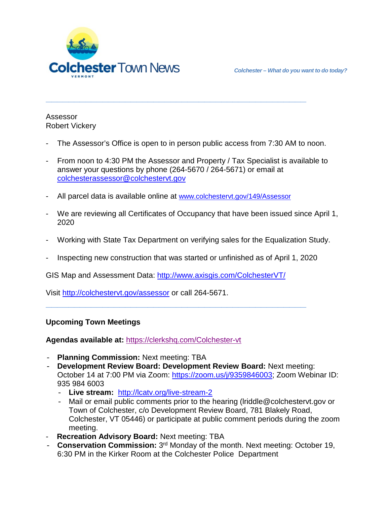

Assessor Robert Vickery

The Assessor's Office is open to in person public access from 7:30 AM to noon.

**\_\_\_\_\_\_\_\_\_\_\_\_\_\_\_\_\_\_\_\_\_\_\_\_\_\_\_\_\_\_\_\_\_\_\_\_\_\_\_\_\_\_\_\_\_\_**

- From noon to 4:30 PM the Assessor and Property / Tax Specialist is available to answer your questions by phone (264-5670 / 264-5671) or email at [colchesterassessor@colchestervt.gov](mailto:colchesterassessor@colchestervt.gov)
- All parcel data is available online at [www.colchestervt.gov/149/Assessor](http://www.colchestervt.gov/149/Assessor)
- We are reviewing all Certificates of Occupancy that have been issued since April 1, 2020
- Working with State Tax Department on verifying sales for the Equalization Study.
- Inspecting new construction that was started or unfinished as of April 1, 2020

**\_\_\_\_\_\_\_\_\_\_\_\_\_\_\_\_\_\_\_\_\_\_\_\_\_\_\_\_\_\_\_\_\_\_\_\_\_\_\_\_\_\_\_\_\_\_**

GIS Map and Assessment Data:<http://www.axisgis.com/ColchesterVT/>

Visit<http://colchestervt.gov/assessor> or call 264-5671.

### **Upcoming Town Meetings**

**Agendas available at:** <https://clerkshq.com/Colchester-vt>

- **Planning Commission:** Next meeting: TBA
- **Development Review Board: Development Review Board:** Next meeting: October 14 at 7:00 PM via Zoom: [https://zoom.us/j/9359846003;](https://zoom.us/j/9359846003) Zoom Webinar ID: 935 984 6003
	- **Live stream:** <http://lcatv.org/live-stream-2>
	- Mail or email public comments prior to the hearing (lriddle@colchestervt.gov or Town of Colchester, c/o Development Review Board, 781 Blakely Road, Colchester, VT 05446) or participate at public comment periods during the zoom meeting.
- **Recreation Advisory Board:** Next meeting: TBA
- **Conservation Commission:** 3rd Monday of the month. Next meeting: October 19, 6:30 PM in the Kirker Room at the Colchester Police Department